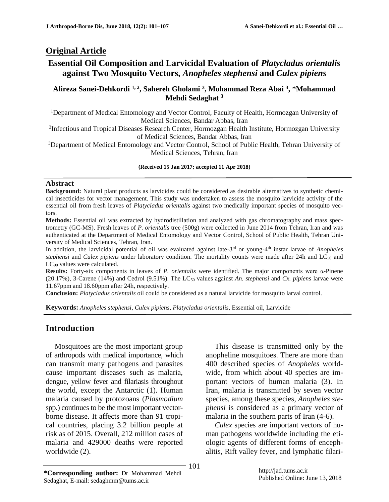### **Original Article**

# **Essential Oil Composition and Larvicidal Evaluation of** *Platycladus orientalis* **against Two Mosquito Vectors,** *Anopheles stephensi* **and** *Culex pipiens*

#### **Alireza Sanei-Dehkordi 1, <sup>2</sup> , Sahereh Gholami <sup>3</sup> , Mohammad Reza Abai <sup>3</sup> ,** \***Mohammad Mehdi Sedaghat <sup>3</sup>**

<sup>1</sup>Department of Medical Entomology and Vector Control, Faculty of Health, Hormozgan University of Medical Sciences, Bandar Abbas, Iran

<sup>2</sup>Infectious and Tropical Diseases Research Center, Hormozgan Health Institute, Hormozgan University of Medical Sciences, Bandar Abbas, Iran

<sup>3</sup>Department of Medical Entomology and Vector Control, School of Public Health, Tehran University of Medical Sciences, Tehran, Iran

**(Received 15 Jan 2017; accepted 11 Apr 2018)**

#### **Abstract**

**Background:** Natural plant products as larvicides could be considered as desirable alternatives to synthetic chemical insecticides for vector management. This study was undertaken to assess the mosquito larvicide activity of the essential oil from fresh leaves of *Platycladus orientalis* against two medically important species of mosquito vectors.

**Methods:** Essential oil was extracted by hydrodistillation and analyzed with gas chromatography and mass spectrometry (GC-MS). Fresh leaves of *P. orientalis* tree (500g) were collected in June 2014 from Tehran, Iran and was authenticated at the Department of Medical Entomology and Vector Control, School of Public Health, Tehran University of Medical Sciences, Tehran, Iran.

In addition, the larvicidal potential of oil was evaluated against late-3<sup>rd</sup> or young-4<sup>th</sup> instar larvae of *Anopheles stephensi* and *Culex pipiens* under laboratory condition*.* The mortality counts were made after 24h and LC<sup>50</sup> and LC<sub>90</sub> values were calculated.

**Results:** Forty-six components in leaves of *P. orientalis* were identified. The major components were α-Pinene (20.17%), 3-Carene (14%) and Cedrol (9.51%). The LC<sub>50</sub> values against *An. stephensi* and *Cx. pipiens* larvae were 11.67ppm and 18.60ppm after 24h, respectively.

**Conclusion:** *Platycladus orientalis* oil could be considered as a natural larvicide for mosquito larval control.

**Keywords:** *Anopheles stephensi*, *Culex pipiens*, *Platycladus orientalis*, Essential oil, Larvicide

### **Introduction**

Mosquitoes are the most important group of arthropods with medical importance, which can transmit many pathogens and parasites cause important diseases such as malaria, dengue, yellow fever and filariasis throughout the world, except the Antarctic (1). Human malaria caused by protozoans (*Plasmodium* spp.) continues to be the most important vectorborne disease. It affects more than 91 tropical countries, placing 3.2 billion people at risk as of 2015. Overall, 212 million cases of malaria and 429000 deaths were reported worldwide (2).

This disease is transmitted only by the anopheline mosquitoes. There are more than 400 described species of *Anopheles* worldwide, from which about 40 species are important vectors of human malaria (3). In Iran, malaria is transmitted by seven vector species, among these species, *Anopheles stephensi* is considered as a primary vector of malaria in the southern parts of Iran (4-6).

*Culex* species are important vectors of human pathogens worldwide including the etiologic agents of different forms of encephalitis, Rift valley fever, and lymphatic filari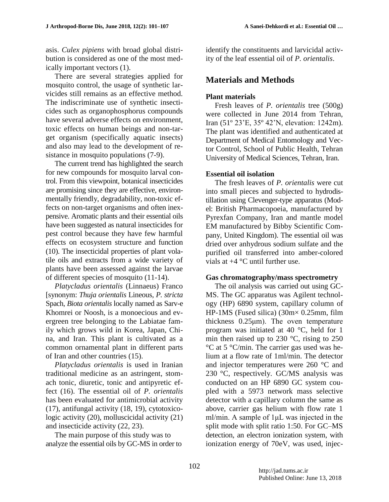asis. *Culex pipiens* with broad global distribution is considered as one of the most medically important vectors (1).

There are several strategies applied for mosquito control, the usage of synthetic larvicides still remains as an effective method. The indiscriminate use of synthetic insecticides such as organophosphorus compounds have several adverse effects on environment, toxic effects on human beings and non-target organism (specifically aquatic insects) and also may lead to the development of resistance in mosquito populations (7-9).

The current trend has highlighted the search for new compounds for mosquito larval control. From this viewpoint, botanical insecticides are promising since they are effective, environmentally friendly, degradability, non-toxic effects on non-target organisms and often inexpensive. Aromatic plants and their essential oils have been suggested as natural insecticides for pest control because they have few harmful effects on ecosystem structure and function (10). The insecticidal properties of plant volatile oils and extracts from a wide variety of plants have been assessed against the larvae of different species of mosquito (11-14).

*Platycladus orientalis* (Linnaeus) Franco [synonym: *Thuja orientalis* Lineous, *P. stricta* Spach, *Biota orientalis* locally named as Sarv-e Khomrei or Noosh, is a monoecious and evergreen tree belonging to the Labiatae family which grows wild in Korea, Japan, China, and Iran. This plant is cultivated as a common ornamental plant in different parts of Iran and other countries (15).

*Platycladus orientalis* is used in Iranian traditional medicine as an astringent, stomach tonic, diuretic, tonic and antipyretic effect (16). The essential oil of *P. orientalis* has been evaluated for antimicrobial activity (17), antifungal activity (18, 19), cytotoxicologic activity (20), molluscicidal activity (21) and insecticide activity (22, 23).

The main purpose of this study was to analyze the essential oils by GC-MS in order to identify the constituents and larvicidal activity of the leaf essential oil of *P. orientalis*.

## **Materials and Methods**

#### **Plant materials**

Fresh leaves of *P. orientalis* tree (500g) were collected in June 2014 from Tehran, Iran (51º 23'E, 35º 42'N, elevation: 1242m). The plant was identified and authenticated at Department of Medical Entomology and Vector Control, School of Public Health, Tehran University of Medical Sciences, Tehran, Iran.

#### **Essential oil isolation**

The fresh leaves of *P. orientalis* were cut into small pieces and subjected to hydrodistillation using Clevenger-type apparatus (Model: British Pharmacopoeia, manufactured by Pyrexfan Company, Iran and mantle model EM manufactured by Bibby Scientific Company, United Kingdom). The essential oil was dried over anhydrous sodium sulfate and the purified oil transferred into amber-colored vials at  $+4$  °C until further use.

#### **Gas chromatography/mass spectrometry**

The oil analysis was carried out using GC-MS. The GC apparatus was Agilent technology (HP) 6890 system, capillary column of HP-1MS (Fused silica) (30m× 0.25mm, film thickness 0.25μm). The oven temperature program was initiated at 40 °C, held for 1 min then raised up to  $230^{\circ}$ C, rising to  $250$ °C at 5 °C/min. The carrier gas used was helium at a flow rate of 1ml/min. The detector and injector temperatures were 260 °C and 230 °C, respectively. GC/MS analysis was conducted on an HP 6890 GC system coupled with a 5973 network mass selective detector with a capillary column the same as above, carrier gas helium with flow rate 1 ml/min. A sample of 1μL was injected in the split mode with split ratio 1:50. For GC–MS detection, an electron ionization system, with ionization energy of 70eV, was used, injec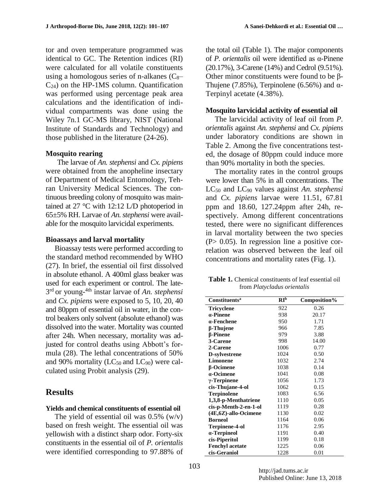tor and oven temperature programmed was identical to GC. The Retention indices (RI) were calculated for all volatile constituents using a homologous series of n-alkanes  $(C_8 C_{24}$ ) on the HP-1MS column. Quantification was performed using percentage peak area calculations and the identification of individual compartments was done using the Wiley 7n.1 GC-MS library, NIST (National Institute of Standards and Technology) and those published in the literature (24-26).

### **Mosquito rearing**

The larvae of *An. stephensi* and *Cx. pipiens* were obtained from the anopheline insectary of Department of Medical Entomology, Tehran University Medical Sciences. The continuous breeding colony of mosquito was maintained at 27 °C with 12:12 L/D photoperiod in 65±5% RH. Larvae of *An.stephensi* were available for the mosquito larvicidal experiments.

#### **Bioassays and larval mortality**

Bioassay tests were performed according to the standard method recommended by WHO (27). In brief, the essential oil first dissolved in absolute ethanol. A 400ml glass beaker was used for each experiment or control. The late-3 rd or young-4th instar larvae of *An. stephensi* and *Cx. pipiens* were exposed to 5, 10, 20, 40 and 80ppm of essential oil in water, in the control beakers only solvent (absolute ethanol) was dissolved into the water. Mortality was counted after 24h. When necessary, mortality was adjusted for control deaths using Abbott's formula (28). The lethal concentrations of 50% and 90% mortality ( $LC_{50}$  and  $LC_{90}$ ) were calculated using Probit analysis (29).

# **Results**

### **Yields and chemical constituents of essential oil**

The yield of essential oil was  $0.5\%$  (w/v) based on fresh weight. The essential oil was yellowish with a distinct sharp odor. Forty-six constituents in the essential oil of *P. orientalis* were identified corresponding to 97.88% of the total oil (Table 1). The major components of *P. orientalis* oil were identified as α-Pinene (20.17%), 3-Carene (14%) and Cedrol (9.51%). Other minor constituents were found to be β-Thujene (7.85%), Terpinolene (6.56%) and  $\alpha$ -Terpinyl acetate (4.38%).

### **Mosquito larvicidal activity of essential oil**

The larvicidal activity of leaf oil from *P. orientalis* against *An. stephensi* and *Cx. pipiens* under laboratory conditions are shown in Table 2. Among the five concentrations tested, the dosage of 80ppm could induce more than 90% mortality in both the species.

The mortality rates in the control groups were lower than 5% in all concentrations. The LC<sup>50</sup> and LC<sup>90</sup> values against *An. stephensi* and *Cx. pipiens* larvae were 11.51, 67.81 ppm and 18.60, 127.24ppm after 24h, respectively. Among different concentrations tested, there were no significant differences in larval mortality between the two species (P> 0.05). In regression line a positive correlation was observed between the leaf oil concentrations and mortality rates (Fig. 1).

Table 1. Chemical constituents of leaf essential oil from *Platycladus orientalis*

| <b>Constituents<sup>a</sup></b> | RI <sup>b</sup> | Composition% |
|---------------------------------|-----------------|--------------|
| Tricyclene                      | 922             | 0.26         |
| $a$ -Pinene                     | 938             | 20.17        |
| $a$ -Fenchene                   | 950             | 1.71         |
| β-Thujene                       | 966             | 7.85         |
| <b><i>B-Pinene</i></b>          | 979             | 3.88         |
| 3-Carene                        | 998             | 14.00        |
| 2-Carene                        | 1006            | 0.77         |
| D-sylvestrene                   | 1024            | 0.50         |
| Limonene                        | 1032            | 2.74         |
| β-Ocimene                       | 1038            | 0.14         |
| a-Ocimene                       | 1041            | 0.08         |
| $\gamma$ -Terpinene             | 1056            | 1.73         |
| cis-Thujane-4-ol                | 1062            | 0.15         |
| <b>Terpinolene</b>              | 1083            | 6.56         |
| 1,3,8-p-Menthatriene            | 1110            | 0.05         |
| cis-p-Menth-2-en-1-ol           | 1119            | 0.28         |
| $(4E, 6Z)$ -allo-Ocimene        | 1130            | 0.02         |
| <b>Borneol</b>                  | 1164            | 0.06         |
| Terpinene-4-ol                  | 1176            | 2.95         |
| a-Terpineol                     | 1191            | 0.40         |
| cis-Piperitol                   | 1199            | 0.18         |
| <b>Fenchyl acetate</b>          | 1225            | 0.06         |
| cis-Geraniol                    | 1228            | 0.01         |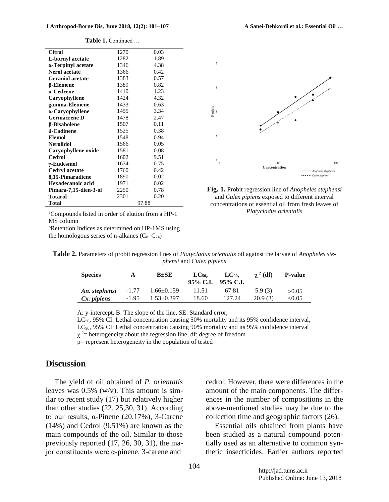| <b>Citral</b>           | 1270 | 0.03  |  |
|-------------------------|------|-------|--|
| L-bornyl acetate        | 1282 | 1.89  |  |
| α-Terpinyl acetate      | 1346 | 4.38  |  |
| <b>Nerol acetate</b>    | 1366 | 0.42  |  |
| <b>Geraniol acetate</b> | 1383 | 0.57  |  |
| <b>B-Elemene</b>        | 1389 | 0.82  |  |
| a-Cedrene               | 1410 | 1.23  |  |
| Caryophyllene           | 1424 | 4.32  |  |
| gamma-Elemene           | 1433 | 0.63  |  |
| $\alpha$ -Caryophyllene | 1455 | 3.34  |  |
| <b>Germacrene D</b>     | 1478 | 2.47  |  |
| β-Bisabolene            | 1507 | 0.11  |  |
| δ-Cadinene              | 1525 | 0.38  |  |
| <b>Elemol</b>           | 1548 | 0.94  |  |
| <b>Nerolidol</b>        | 1566 | 0.05  |  |
| Caryophyllene oxide     | 1581 | 0.08  |  |
| <b>Cedrol</b>           | 1602 | 9.51  |  |
| $\gamma$ -Eudesmol      | 1634 | 0.75  |  |
| <b>Cedryl</b> acetate   | 1760 | 0.42  |  |
| 8,15-Pimaradiene        | 1890 | 0.02  |  |
| Hexadecanoic acid       | 1971 | 0.02  |  |
| Pimara-7,15-dien-3-ol   | 2250 | 0.78  |  |
| <b>Totarol</b>          | 2301 | 0.20  |  |
| Total                   |      | 97.88 |  |

**Table 1.** Continued …



**Fig. 1.** Probit regression line of *Anopheles stephensi*  and *Culex pipiens* exposed to different interval concentrations of essential oil from fresh leaves of *Platycladus orientalis*

<sup>a</sup>Compounds listed in order of elution from a HP-1 MS column

bRetention Indices as determined on HP-1MS using the homologous series of n-alkanes  $(C_8-C_{24})$ 

| Table 2. Parameters of probit regression lines of Platycladus orientalis oil against the larvae of Anopheles ste- |
|-------------------------------------------------------------------------------------------------------------------|
| <i>phensi</i> and <i>Culex pipiens</i>                                                                            |

| <b>Species</b> |         | $B \pm SE$       | $LC_{50}$<br>95% C.I. | $LC_{90}$<br>95% C.I. | $\gamma^2$ (df) | <b>P-value</b> |
|----------------|---------|------------------|-----------------------|-----------------------|-----------------|----------------|
| An. stephensi  | $-1.77$ | $1.66 \pm 0.159$ | 11.51                 | 67.81                 | 5.9(3)          | >0.05          |
| Cx. pipiens    | $-1.95$ | $1.53 \pm 0.397$ | 18.60                 | 127.24                | 20.9(3)         | < 0.05         |

A: y-intercept, B: The slope of the line, SE: Standard error,

 $LC_{50}$ , 95% CI: Lethal concentration causing 50% mortality and its 95% confidence interval, LC90, 95% CI: Lethal concentration causing 90% mortality and its 95% confidence interval  $\chi^2$  = heterogeneity about the regression line, df: degree of freedom

p= represent heterogeneity in the population of tested

### **Discussion**

The yield of oil obtained of *P. orientalis* leaves was 0.5% (w/v). This amount is similar to recent study (17) but relatively higher than other studies (22, 25,30, 31). According to our results, α-Pinene (20.17%), 3-Carene (14%) and Cedrol (9.51%) are known as the main compounds of the oil. Similar to those previously reported (17, 26, 30, 31), the major constituents were α-pinene, 3-carene and

cedrol. However, there were differences in the amount of the main components. The differences in the number of compositions in the above-mentioned studies may be due to the collection time and geographic factors (26).

Essential oils obtained from plants have been studied as a natural compound potentially used as an alternative to common synthetic insecticides. Earlier authors reported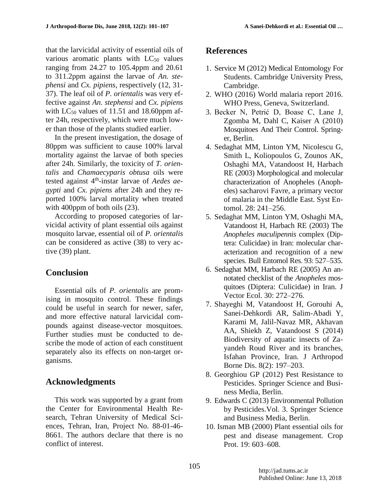that the larvicidal activity of essential oils of various aromatic plants with  $LC_{50}$  values ranging from 24.27 to 105.4ppm and 20.61 to 311.2ppm against the larvae of *An. stephensi* and *Cx. pipiens*, respectively (12, 31- 37). The leaf oil of *P. orientalis* was very effective against *An. stephensi* and *Cx. pipiens* with  $LC_{50}$  values of 11.51 and 18.60ppm after 24h, respectively, which were much lower than those of the plants studied earlier.

In the present investigation, the dosage of 80ppm was sufficient to cause 100% larval mortality against the larvae of both species after 24h. Similarly, the toxicity of *T. orientalis* and *Chamaecyparis obtusa* oils were tested against 4<sup>th</sup>-instar larvae of *Aedes aegypti* and *Cx. pipiens* after 24h and they reported 100% larval mortality when treated with 400ppm of both oils (23).

According to proposed categories of larvicidal activity of plant essential oils against mosquito larvae, essential oil of *P. orientalis* can be considered as active (38) to very active (39) plant.

# **Conclusion**

Essential oils of *P. orientalis* are promising in mosquito control. These findings could be useful in search for newer, safer, and more effective natural larvicidal compounds against disease-vector mosquitoes. Further studies must be conducted to describe the mode of action of each constituent separately also its effects on non-target organisms.

# **Acknowledgments**

This work was supported by a grant from the Center for Environmental Health Research, Tehran University of Medical Sciences, Tehran, Iran, Project No. 88-01-46- 8661. The authors declare that there is no conflict of interest.

# **References**

- 1. Service M (2012) Medical Entomology For Students. Cambridge University Press, Cambridge.
- 2. WHO (2016) World malaria report 2016. WHO Press, Geneva, Switzerland.
- 3. Becker N, Petrić D, Boase C, Lane J, Zgomba M, Dahl C, Kaiser A (2010) Mosquitoes And Their Control. Springer, Berlin.
- 4. Sedaghat MM, Linton YM, Nicolescu G, Smith L, Koliopoulos G, Zounos AK, Oshaghi MA, Vatandoost H, Harbach RE (2003) Morphological and molecular characterization of Anopheles (Anopheles) sacharovi Favre, a primary vector of malaria in the Middle East. Syst Entomol. 28: 241–256.
- 5. Sedaghat MM, Linton YM, Oshaghi MA, Vatandoost H, Harbach RE (2003) The *Anopheles maculipennis* complex (Diptera: Culicidae) in Iran: molecular characterization and recognition of a new species. Bull Entomol Res. 93: 527–535.
- 6. Sedaghat MM, Harbach RE (2005) An annotated checklist of the *Anopheles* mosquitoes (Diptera: Culicidae) in Iran. J Vector Ecol. 30: 272–276.
- 7. Shayeghi M, Vatandoost H, Gorouhi A, Sanei-Dehkordi AR, Salim-Abadi Y, Karami M, Jalil-Navaz MR, Akhavan AA, Shiekh Z, Vatandoost S (2014) Biodiversity of aquatic insects of Zayandeh Roud River and its branches, Isfahan Province, Iran. J Arthropod Borne Dis. 8(2): 197–203.
- 8. Georghiou GP (2012) Pest Resistance to Pesticides. Springer Science and Business Media, Berlin.
- 9. Edwards C (2013) Environmental Pollution by Pesticides.Vol. 3. Springer Science and Business Media, Berlin.
- 10. Isman MB (2000) Plant essential oils for pest and disease management. Crop Prot. 19: 603–608.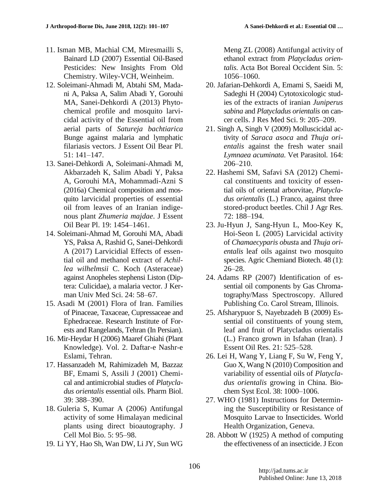- 11. Isman MB, Machial CM, Miresmailli S, Bainard LD (2007) Essential Oil-Based Pesticides: New Insights From Old Chemistry. Wiley-VCH, Weinheim.
- 12. Soleimani-Ahmadi M, Abtahi SM, Madani A, Paksa A, Salim Abadi Y, Gorouhi MA, Sanei-Dehkordi A (2013) Phytochemical profile and mosquito larvicidal activity of the Essential oil from aerial parts of *Satureja bachtiarica* Bunge against malaria and lymphatic filariasis vectors. J Essent Oil Bear Pl. 51: 141–147.
- 13. Sanei-Dehkordi A, Soleimani-Ahmadi M, Akbarzadeh K, Salim Abadi Y, Paksa A, Gorouhi MA, Mohammadi-Azni S (2016a) Chemical composition and mosquito larvicidal properties of essential oil from leaves of an Iranian indigenous plant *Zhumeria majdae*. J Essent Oil Bear Pl. 19: 1454–1461.
- 14. Soleimani-Ahmad M, Gorouhi MA, Abadi YS, Paksa A, Rashid G, Sanei-Dehkordi A (2017) Larvicidial Effects of essential oil and methanol extract of *Achillea wilhelmsii* C. Koch (Asteraceae) against Anopheles stephensi Liston (Diptera: Culicidae), a malaria vector. J Kerman Univ Med Sci. 24: 58–67.
- 15. Asadi M (2001) Flora of Iran. Families of Pinaceae, Taxaceae, Cupressaceae and Ephedraceae. Research Institute of Forests and Rangelands, Tehran (In Persian).
- 16. Mir-Heydar H (2006) Maaref Ghiahi (Plant Knowledge). Vol. 2. Daftar-e Nashr-e Eslami, Tehran.
- 17. Hassanzadeh M, Rahimizadeh M, Bazzaz BF, Emami S, Assili J (2001) Chemical and antimicrobial studies of *Platycladus orientalis* essential oils. Pharm Biol. 39: 388–390.
- 18. Guleria S, Kumar A (2006) Antifungal activity of some Himalayan medicinal plants using direct bioautography. J Cell Mol Bio. 5: 95–98.
- 19. Li YY, Hao Sh, Wan DW, Li JY, Sun WG

Meng ZL (2008) Antifungal activity of ethanol extract from *Platycladus orientalis*. Acta Bot Boreal Occident Sin. 5: 1056–1060.

- 20. Jafarian-Dehkordi A, Emami S, Saeidi M, Sadeghi H (2004) Cytotoxicologic studies of the extracts of iranian *Juniperus sabina* and *Platycladus orientalis* on cancer cells. J Res Med Sci. 9: 205–209.
- 21. Singh A, Singh V (2009) Molluscicidal activity of *Saraca asoca* and *Thuja orientalis* against the fresh water snail *Lymnaea acuminata*. Vet Parasitol. 164: 206–210.
- 22. Hashemi SM, Safavi SA (2012) Chemical constituents and toxicity of essential oils of oriental arborvitae, *Platycladus orientalis* (L.) Franco, against three stored-product beetles. Chil J Agr Res. 72: 188–194.
- 23. Ju-Hyun J, Sang-Hyun L, Moo-Key K, Hoi-Seon L (2005) Larvicidal activity of *Chamaecyparis obust*a and *Thuja orientalis* leaf oils against two mosquito species. Agric Chemiand Biotech. 48 (1): 26–28.
- 24. Adams RP (2007) Identification of essential oil components by Gas Chromatography/Mass Spectroscopy. Allured Publishing Co. Carol Stream, Illinois.
- 25. Afsharypuor S, Nayebzadeh B (2009) Essential oil constituents of young stem, leaf and fruit of Platycladus orientalis (L.) Franco grown in Isfahan (Iran). J Essent Oil Res. 21: 525–528.
- 26. Lei H, Wang Y, Liang F, Su W, Feng Y, Guo X, Wang N (2010) Composition and variability of essential oils of *Platycladus orientalis* growing in China. Biochem Syst Ecol. 38: 1000–1006.
- 27. WHO (1981) Instructions for Determining the Susceptibility or Resistance of Mosquito Larvae to Insecticides. World Health Organization, Geneva.
- 28. Abbott W (1925) A method of computing the effectiveness of an insecticide. J Econ